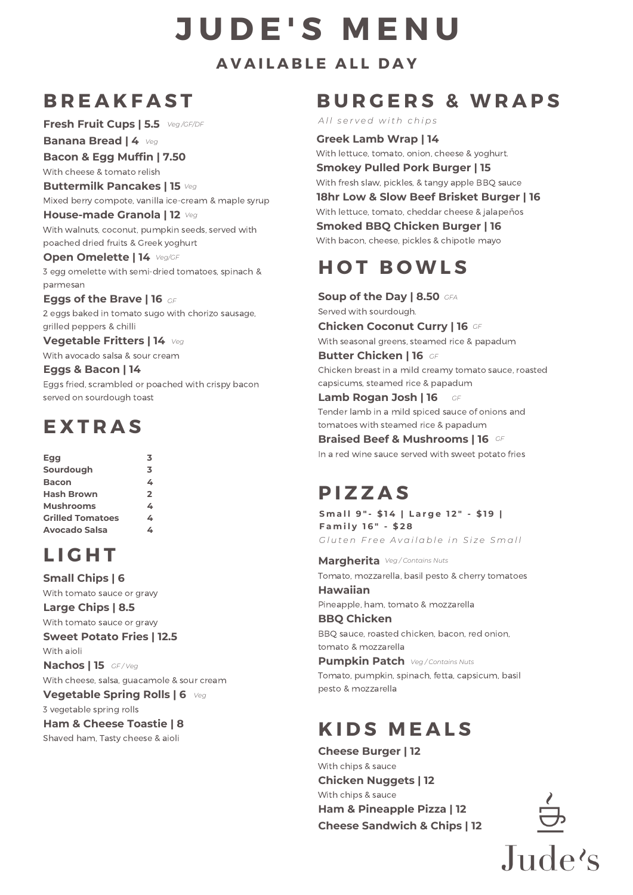# **J U D E ' S M E N U**

**A V A I L A B L E A L L D A Y**

### **B R E A K F A S T**

**Fresh Fruit Cups | 5.5** *Veg /GF/DF*

**Banana Bread | 4** *Veg*

**Bacon & Egg Muffin | 7.50**

With cheese & tomato relish

**Buttermilk Pancakes | 15** *Veg* Mixed berry compote, vanilla ice-cream & maple syrup

**House-made Granola | 12** *Veg* With walnuts, coconut, pumpkin seeds, served with poached dried fruits & Greek yoghurt

**Open Omelette | 14** *Veg/GF*

3 egg omelette with semi-dried tomatoes, spinach & parmesan

**Eggs of the Brave | 16** *GF* 2 eggs baked in tomato sugo with chorizo sausage, grilled peppers & chilli

**Vegetable Fritters | 14** *Veg* With avocado salsa & sour cream

**Eggs & Bacon | 14**

Eggs fried, scrambled or poached with crispy bacon served on sourdough toast

### **E X T R A S**

| Egg                     | 3            |
|-------------------------|--------------|
| Sourdough               | 3            |
| <b>Bacon</b>            | 4            |
| <b>Hash Brown</b>       | $\mathbf{2}$ |
| <b>Mushrooms</b>        | 4            |
| <b>Grilled Tomatoes</b> | 4            |
| Avocado Salsa           |              |

# **L I G H T**

**Small Chips | 6**

With tomato sauce or gravy **Large Chips | 8.5**

With tomato sauce or gravy

**Sweet Potato Fries | 12.5**

With aioli

**Nachos | 15** *GF / Veg*

With cheese, salsa, guacamole & sour cream

**Vegetable Spring Rolls | 6** *Veg*

3 vegetable spring rolls

**Ham & Cheese Toastie | 8**

Shaved ham, Tasty cheese & aioli

#### **B U R G E R S & W R A P S**

*A l l s e r v e d w it h c h i p s*

**Greek Lamb Wrap | 14**

With lettuce, tomato, onion, cheese & yoghurt. **Smokey Pulled Pork Burger | 15** With fresh slaw, pickles, & tangy apple BBQ sauce **18hr Low & Slow Beef Brisket Burger | 16** With lettuce, tomato, cheddar cheese & jalapeños **Smoked BBQ Chicken Burger | 16** With bacon, cheese, pickles & chipotle mayo

## **H O T B O W L S**

**Soup of the Day | 8.50** *GFA* Served with sourdough. **Chicken Coconut Curry | 16** *GF* With seasonal greens, steamed rice & papadum **Butter Chicken | 16** *GF* Chicken breast in a mild creamy tomato sauce, roasted capsicums, steamed rice & papadum **Lamb Rogan Josh | 16** Tender lamb in a mild spiced sauce of onions and tomatoes with steamed rice & papadum *GF*

**Braised Beef & Mushrooms | 16** *GF* In a red wine sauce served with sweet potato fries

### **P I Z Z A S**

Gluten Free Available in Size Small **S m a l l 9 " - \$ 1 4 | L a r g e 1 2 " - \$ 1 9 | F a m i l y 1 6 " - \$ 2 8**

**Margherita** *Veg / Contains Nuts*Tomato, mozzarella, basil pesto & cherry tomatoes **Hawaiian** Pineapple, ham, tomato & mozzarella

**BBQ Chicken** BBQ sauce, roasted chicken, bacon, red onion, tomato & mozzarella

**Pumpkin Patch** *Veg / Contains Nuts* Tomato, pumpkin, spinach, fetta, capsicum, basil pesto & mozzarella

### **K I D S M E A L S**

**Cheese Burger | 12** With chips & sauce **Chicken Nuggets | 12** With chips & sauce **Ham & Pineapple Pizza | 12 Cheese Sandwich & Chips | 12**